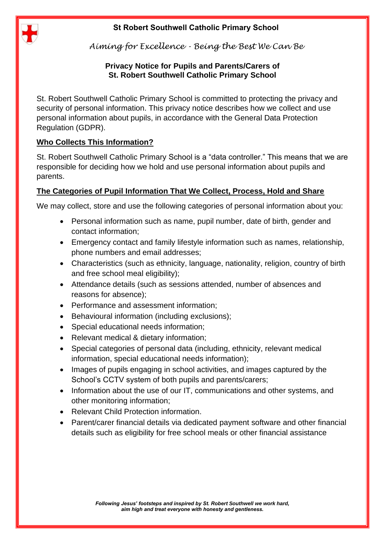

*Aiming for Excellence - Being the Best We Can Be*

#### **Privacy Notice for Pupils and Parents/Carers of St. Robert Southwell Catholic Primary School**

St. Robert Southwell Catholic Primary School is committed to protecting the privacy and security of personal information. This privacy notice describes how we collect and use personal information about pupils, in accordance with the General Data Protection Regulation (GDPR).

# **Who Collects This Information?**

St. Robert Southwell Catholic Primary School is a "data controller." This means that we are responsible for deciding how we hold and use personal information about pupils and parents.

## **The Categories of Pupil Information That We Collect, Process, Hold and Share**

We may collect, store and use the following categories of personal information about you:

- Personal information such as name, pupil number, date of birth, gender and contact information;
- Emergency contact and family lifestyle information such as names, relationship, phone numbers and email addresses;
- Characteristics (such as ethnicity, language, nationality, religion, country of birth and free school meal eligibility);
- Attendance details (such as sessions attended, number of absences and reasons for absence);
- Performance and assessment information;
- Behavioural information (including exclusions);
- Special educational needs information;
- Relevant medical & dietary information;
- Special categories of personal data (including, ethnicity, relevant medical information, special educational needs information);
- Images of pupils engaging in school activities, and images captured by the School's CCTV system of both pupils and parents/carers;
- Information about the use of our IT, communications and other systems, and other monitoring information;
- Relevant Child Protection information.
- Parent/carer financial details via dedicated payment software and other financial details such as eligibility for free school meals or other financial assistance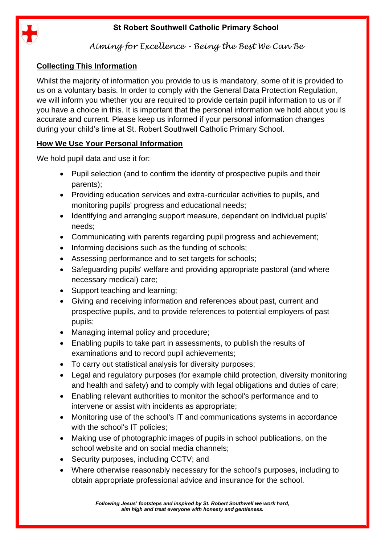

## *Aiming for Excellence - Being the Best We Can Be*

## **Collecting This Information**

Whilst the majority of information you provide to us is mandatory, some of it is provided to us on a voluntary basis. In order to comply with the General Data Protection Regulation, we will inform you whether you are required to provide certain pupil information to us or if you have a choice in this. It is important that the personal information we hold about you is accurate and current. Please keep us informed if your personal information changes during your child's time at St. Robert Southwell Catholic Primary School.

## **How We Use Your Personal Information**

We hold pupil data and use it for:

- Pupil selection (and to confirm the identity of prospective pupils and their parents);
- Providing education services and extra-curricular activities to pupils, and monitoring pupils' progress and educational needs;
- Identifying and arranging support measure, dependant on individual pupils' needs;
- Communicating with parents regarding pupil progress and achievement;
- Informing decisions such as the funding of schools;
- Assessing performance and to set targets for schools:
- Safeguarding pupils' welfare and providing appropriate pastoral (and where necessary medical) care;
- Support teaching and learning;
- Giving and receiving information and references about past, current and prospective pupils, and to provide references to potential employers of past pupils;
- Managing internal policy and procedure;
- Enabling pupils to take part in assessments, to publish the results of examinations and to record pupil achievements;
- To carry out statistical analysis for diversity purposes;
- Legal and regulatory purposes (for example child protection, diversity monitoring and health and safety) and to comply with legal obligations and duties of care;
- Enabling relevant authorities to monitor the school's performance and to intervene or assist with incidents as appropriate;
- Monitoring use of the school's IT and communications systems in accordance with the school's IT policies;
- Making use of photographic images of pupils in school publications, on the school website and on social media channels;
- Security purposes, including CCTV; and
- Where otherwise reasonably necessary for the school's purposes, including to obtain appropriate professional advice and insurance for the school.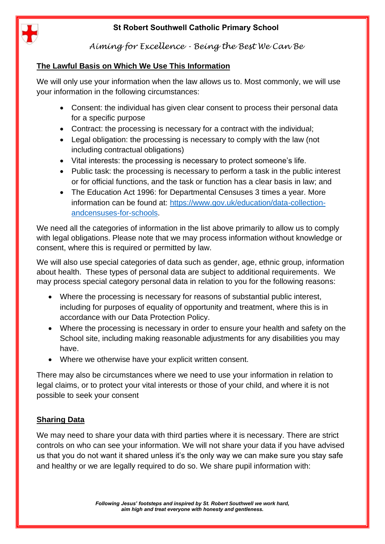

*Aiming for Excellence - Being the Best We Can Be*

#### **The Lawful Basis on Which We Use This Information**

We will only use your information when the law allows us to. Most commonly, we will use your information in the following circumstances:

- Consent: the individual has given clear consent to process their personal data for a specific purpose
- Contract: the processing is necessary for a contract with the individual;
- Legal obligation: the processing is necessary to comply with the law (not including contractual obligations)
- Vital interests: the processing is necessary to protect someone's life.
- Public task: the processing is necessary to perform a task in the public interest or for official functions, and the task or function has a clear basis in law; and
- The Education Act 1996: for Departmental Censuses 3 times a year. More information can be found at: [https://www.gov.uk/education/data-collection](https://www.gov.uk/education/data-collection-andcensuses-for-schools)[andcensuses-for-schools.](https://www.gov.uk/education/data-collection-andcensuses-for-schools)

We need all the categories of information in the list above primarily to allow us to comply with legal obligations. Please note that we may process information without knowledge or consent, where this is required or permitted by law.

We will also use special categories of data such as gender, age, ethnic group, information about health. These types of personal data are subject to additional requirements. We may process special category personal data in relation to you for the following reasons:

- Where the processing is necessary for reasons of substantial public interest, including for purposes of equality of opportunity and treatment, where this is in accordance with our Data Protection Policy.
- Where the processing is necessary in order to ensure your health and safety on the School site, including making reasonable adjustments for any disabilities you may have.
- Where we otherwise have your explicit written consent.

There may also be circumstances where we need to use your information in relation to legal claims, or to protect your vital interests or those of your child, and where it is not possible to seek your consent

## **Sharing Data**

We may need to share your data with third parties where it is necessary. There are strict controls on who can see your information. We will not share your data if you have advised us that you do not want it shared unless it's the only way we can make sure you stay safe and healthy or we are legally required to do so. We share pupil information with: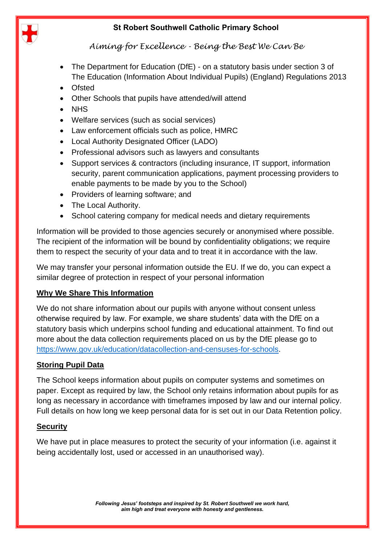

*Aiming for Excellence - Being the Best We Can Be*

- The Department for Education (DfE) on a statutory basis under section 3 of The Education (Information About Individual Pupils) (England) Regulations 2013
- Ofsted
- Other Schools that pupils have attended/will attend
- NHS
- Welfare services (such as social services)
- Law enforcement officials such as police, HMRC
- Local Authority Designated Officer (LADO)
- Professional advisors such as lawyers and consultants
- Support services & contractors (including insurance, IT support, information security, parent communication applications, payment processing providers to enable payments to be made by you to the School)
- Providers of learning software; and
- The Local Authority.
- School catering company for medical needs and dietary requirements

Information will be provided to those agencies securely or anonymised where possible. The recipient of the information will be bound by confidentiality obligations; we require them to respect the security of your data and to treat it in accordance with the law.

We may transfer your personal information outside the EU. If we do, you can expect a similar degree of protection in respect of your personal information

#### **Why We Share This Information**

We do not share information about our pupils with anyone without consent unless otherwise required by law. For example, we share students' data with the DfE on a statutory basis which underpins school funding and educational attainment. To find out more about the data collection requirements placed on us by the DfE please go to [https://www.gov.uk/education/datacollection-and-censuses-for-schools.](https://www.gov.uk/education/datacollection-and-censuses-for-schools)

#### **Storing Pupil Data**

The School keeps information about pupils on computer systems and sometimes on paper. Except as required by law, the School only retains information about pupils for as long as necessary in accordance with timeframes imposed by law and our internal policy. Full details on how long we keep personal data for is set out in our Data Retention policy.

#### **Security**

We have put in place measures to protect the security of your information (i.e. against it being accidentally lost, used or accessed in an unauthorised way).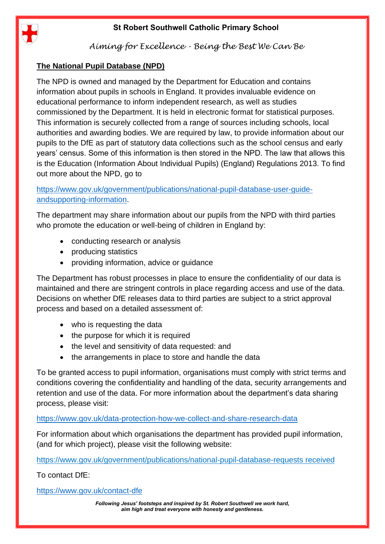

*Aiming for Excellence - Being the Best We Can Be*

## **The National Pupil Database (NPD)**

The NPD is owned and managed by the Department for Education and contains information about pupils in schools in England. It provides invaluable evidence on educational performance to inform independent research, as well as studies commissioned by the Department. It is held in electronic format for statistical purposes. This information is securely collected from a range of sources including schools, local authorities and awarding bodies. We are required by law, to provide information about our pupils to the DfE as part of statutory data collections such as the school census and early years' census. Some of this information is then stored in the NPD. The law that allows this is the Education (Information About Individual Pupils) (England) Regulations 2013. To find out more about the NPD, go to

[https://www.gov.uk/government/publications/national-pupil-database-user-guide](https://www.gov.uk/government/publications/national-pupil-database-user-guide-andsupporting-information)[andsupporting-information.](https://www.gov.uk/government/publications/national-pupil-database-user-guide-andsupporting-information)

The department may share information about our pupils from the NPD with third parties who promote the education or well-being of children in England by:

- conducting research or analysis
- producing statistics
- providing information, advice or guidance

The Department has robust processes in place to ensure the confidentiality of our data is maintained and there are stringent controls in place regarding access and use of the data. Decisions on whether DfE releases data to third parties are subject to a strict approval process and based on a detailed assessment of:

- who is requesting the data
- the purpose for which it is required
- the level and sensitivity of data requested: and
- the arrangements in place to store and handle the data

To be granted access to pupil information, organisations must comply with strict terms and conditions covering the confidentiality and handling of the data, security arrangements and retention and use of the data. For more information about the department's data sharing process, please visit:

#### <https://www.gov.uk/data-protection-how-we-collect-and-share-research-data>

For information about which organisations the department has provided pupil information, (and for which project), please visit the following website:

<https://www.gov.uk/government/publications/national-pupil-database-requests> received

To contact DfE:

<https://www.gov.uk/contact-dfe>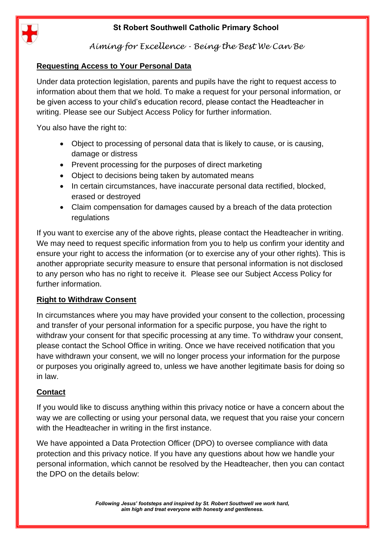

*Aiming for Excellence - Being the Best We Can Be*

### **Requesting Access to Your Personal Data**

Under data protection legislation, parents and pupils have the right to request access to information about them that we hold. To make a request for your personal information, or be given access to your child's education record, please contact the Headteacher in writing. Please see our Subject Access Policy for further information.

You also have the right to:

- Object to processing of personal data that is likely to cause, or is causing, damage or distress
- Prevent processing for the purposes of direct marketing
- Object to decisions being taken by automated means
- In certain circumstances, have inaccurate personal data rectified, blocked, erased or destroyed
- Claim compensation for damages caused by a breach of the data protection regulations

If you want to exercise any of the above rights, please contact the Headteacher in writing. We may need to request specific information from you to help us confirm your identity and ensure your right to access the information (or to exercise any of your other rights). This is another appropriate security measure to ensure that personal information is not disclosed to any person who has no right to receive it. Please see our Subject Access Policy for further information.

#### **Right to Withdraw Consent**

In circumstances where you may have provided your consent to the collection, processing and transfer of your personal information for a specific purpose, you have the right to withdraw your consent for that specific processing at any time. To withdraw your consent, please contact the School Office in writing. Once we have received notification that you have withdrawn your consent, we will no longer process your information for the purpose or purposes you originally agreed to, unless we have another legitimate basis for doing so in law.

#### **Contact**

If you would like to discuss anything within this privacy notice or have a concern about the way we are collecting or using your personal data, we request that you raise your concern with the Headteacher in writing in the first instance.

We have appointed a Data Protection Officer (DPO) to oversee compliance with data protection and this privacy notice. If you have any questions about how we handle your personal information, which cannot be resolved by the Headteacher, then you can contact the DPO on the details below: